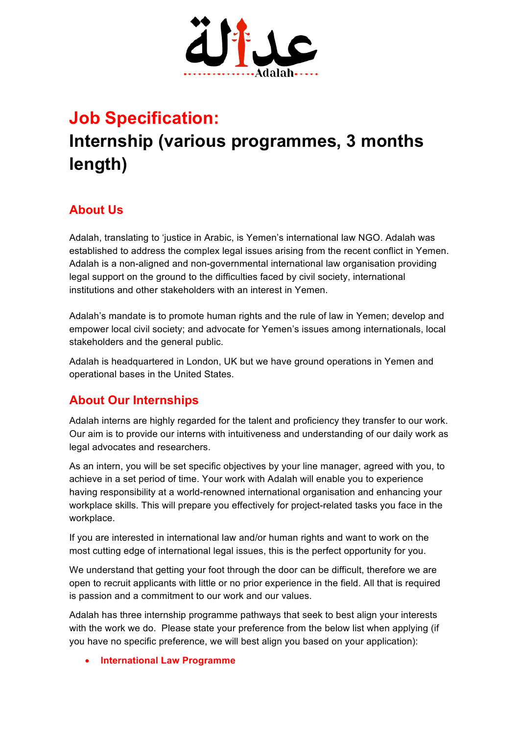

## **Job Specification:**

# **Internship (various programmes, 3 months length)**

## **About Us**

Adalah, translating to 'justice in Arabic, is Yemen's international law NGO. Adalah was established to address the complex legal issues arising from the recent conflict in Yemen. Adalah is a non-aligned and non-governmental international law organisation providing legal support on the ground to the difficulties faced by civil society, international institutions and other stakeholders with an interest in Yemen.

Adalah's mandate is to promote human rights and the rule of law in Yemen; develop and empower local civil society; and advocate for Yemen's issues among internationals, local stakeholders and the general public.

Adalah is headquartered in London, UK but we have ground operations in Yemen and operational bases in the United States.

### **About Our Internships**

Adalah interns are highly regarded for the talent and proficiency they transfer to our work. Our aim is to provide our interns with intuitiveness and understanding of our daily work as legal advocates and researchers.

As an intern, you will be set specific objectives by your line manager, agreed with you, to achieve in a set period of time. Your work with Adalah will enable you to experience having responsibility at a world-renowned international organisation and enhancing your workplace skills. This will prepare you effectively for project-related tasks you face in the workplace.

If you are interested in international law and/or human rights and want to work on the most cutting edge of international legal issues, this is the perfect opportunity for you.

We understand that getting your foot through the door can be difficult, therefore we are open to recruit applicants with little or no prior experience in the field. All that is required is passion and a commitment to our work and our values.

Adalah has three internship programme pathways that seek to best align your interests with the work we do. Please state your preference from the below list when applying (if you have no specific preference, we will best align you based on your application):

• **International Law Programme**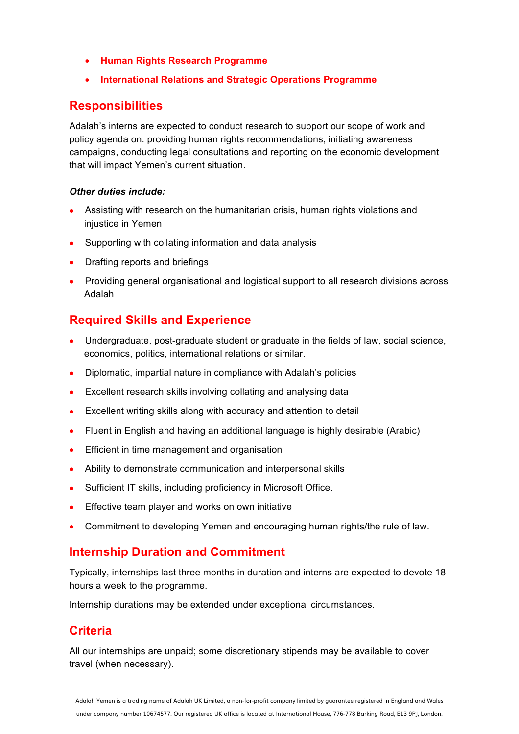- **Human Rights Research Programme**
- **International Relations and Strategic Operations Programme**

#### **Responsibilities**

Adalah's interns are expected to conduct research to support our scope of work and policy agenda on: providing human rights recommendations, initiating awareness campaigns, conducting legal consultations and reporting on the economic development that will impact Yemen's current situation.

#### *Other duties include:*

- Assisting with research on the humanitarian crisis, human rights violations and injustice in Yemen
- Supporting with collating information and data analysis
- Drafting reports and briefings
- Providing general organisational and logistical support to all research divisions across Adalah

#### **Required Skills and Experience**

- Undergraduate, post-graduate student or graduate in the fields of law, social science, economics, politics, international relations or similar.
- Diplomatic, impartial nature in compliance with Adalah's policies
- Excellent research skills involving collating and analysing data
- Excellent writing skills along with accuracy and attention to detail
- Fluent in English and having an additional language is highly desirable (Arabic)
- Efficient in time management and organisation
- Ability to demonstrate communication and interpersonal skills
- Sufficient IT skills, including proficiency in Microsoft Office.
- Effective team player and works on own initiative
- Commitment to developing Yemen and encouraging human rights/the rule of law.

#### **Internship Duration and Commitment**

Typically, internships last three months in duration and interns are expected to devote 18 hours a week to the programme.

Internship durations may be extended under exceptional circumstances.

#### **Criteria**

All our internships are unpaid; some discretionary stipends may be available to cover travel (when necessary).